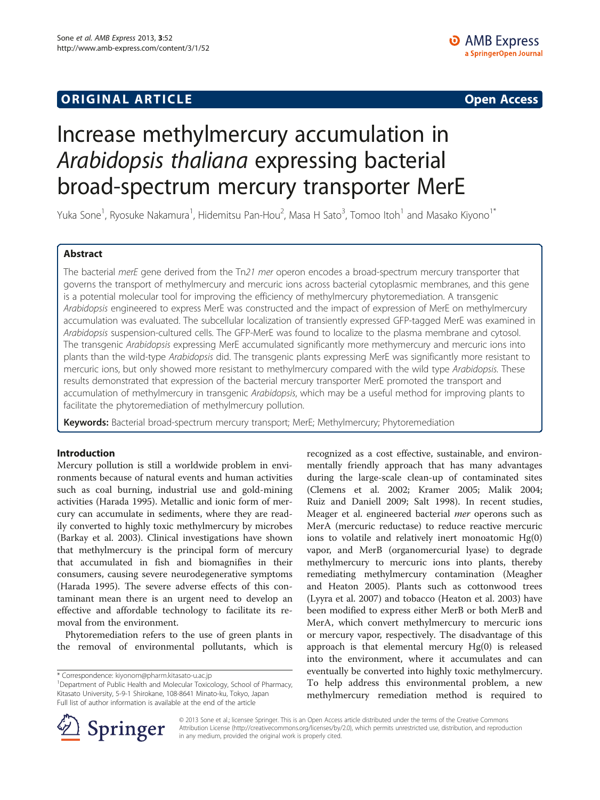## **ORIGINAL ARTICLE CONSUMING A LIGACION** CONSUMING A LIGACION CONSUMING A LIGACION CONSUMING A LIGACION CONSUMING A LIGACION CONSUMING A LIGACION CONSUMING A LIGACION CONSUMING A LIGACION CONSUMING A LIGACION CONSUMING A

# Increase methylmercury accumulation in Arabidopsis thaliana expressing bacterial broad-spectrum mercury transporter MerE

Yuka Sone<sup>1</sup>, Ryosuke Nakamura<sup>1</sup>, Hidemitsu Pan-Hou<sup>2</sup>, Masa H Sato<sup>3</sup>, Tomoo Itoh<sup>1</sup> and Masako Kiyono<sup>1\*</sup>

## Abstract

The bacterial merE gene derived from the Tn21 mer operon encodes a broad-spectrum mercury transporter that governs the transport of methylmercury and mercuric ions across bacterial cytoplasmic membranes, and this gene is a potential molecular tool for improving the efficiency of methylmercury phytoremediation. A transgenic Arabidopsis engineered to express MerE was constructed and the impact of expression of MerE on methylmercury accumulation was evaluated. The subcellular localization of transiently expressed GFP-tagged MerE was examined in Arabidopsis suspension-cultured cells. The GFP-MerE was found to localize to the plasma membrane and cytosol. The transgenic Arabidopsis expressing MerE accumulated significantly more methymercury and mercuric ions into plants than the wild-type Arabidopsis did. The transgenic plants expressing MerE was significantly more resistant to mercuric ions, but only showed more resistant to methylmercury compared with the wild type Arabidopsis. These results demonstrated that expression of the bacterial mercury transporter MerE promoted the transport and accumulation of methylmercury in transgenic Arabidopsis, which may be a useful method for improving plants to facilitate the phytoremediation of methylmercury pollution.

Keywords: Bacterial broad-spectrum mercury transport; MerE; Methylmercury; Phytoremediation

## Introduction

Mercury pollution is still a worldwide problem in environments because of natural events and human activities such as coal burning, industrial use and gold-mining activities (Harada [1995\)](#page-6-0). Metallic and ionic form of mercury can accumulate in sediments, where they are readily converted to highly toxic methylmercury by microbes (Barkay et al. [2003\)](#page-6-0). Clinical investigations have shown that methylmercury is the principal form of mercury that accumulated in fish and biomagnifies in their consumers, causing severe neurodegenerative symptoms (Harada [1995\)](#page-6-0). The severe adverse effects of this contaminant mean there is an urgent need to develop an effective and affordable technology to facilitate its removal from the environment.

Phytoremediation refers to the use of green plants in the removal of environmental pollutants, which is

recognized as a cost effective, sustainable, and environmentally friendly approach that has many advantages during the large-scale clean-up of contaminated sites (Clemens et al. [2002;](#page-6-0) Kramer [2005](#page-6-0); Malik [2004](#page-6-0); Ruiz and Daniell [2009](#page-6-0); Salt [1998\)](#page-6-0). In recent studies, Meager et al. engineered bacterial mer operons such as MerA (mercuric reductase) to reduce reactive mercuric ions to volatile and relatively inert monoatomic Hg(0) vapor, and MerB (organomercurial lyase) to degrade methylmercury to mercuric ions into plants, thereby remediating methylmercury contamination (Meagher and Heaton [2005\)](#page-6-0). Plants such as cottonwood trees (Lyyra et al. [2007\)](#page-6-0) and tobacco (Heaton et al. [2003\)](#page-6-0) have been modified to express either MerB or both MerB and MerA, which convert methylmercury to mercuric ions or mercury vapor, respectively. The disadvantage of this approach is that elemental mercury Hg(0) is released into the environment, where it accumulates and can eventually be converted into highly toxic methylmercury. To help address this environmental problem, a new methylmercury remediation method is required to



© 2013 Sone et al.; licensee Springer. This is an Open Access article distributed under the terms of the Creative Commons Attribution License [\(http://creativecommons.org/licenses/by/2.0\)](http://creativecommons.org/licenses/by/2.0), which permits unrestricted use, distribution, and reproduction in any medium, provided the original work is properly cited.

<sup>\*</sup> Correspondence: [kiyonom@pharm.kitasato-u.ac.jp](mailto:kiyonom@pharm.kitasato-u.ac.jp) <sup>1</sup>

<sup>&</sup>lt;sup>1</sup>Department of Public Health and Molecular Toxicology, School of Pharmacy, Kitasato University, 5-9-1 Shirokane, 108-8641 Minato-ku, Tokyo, Japan Full list of author information is available at the end of the article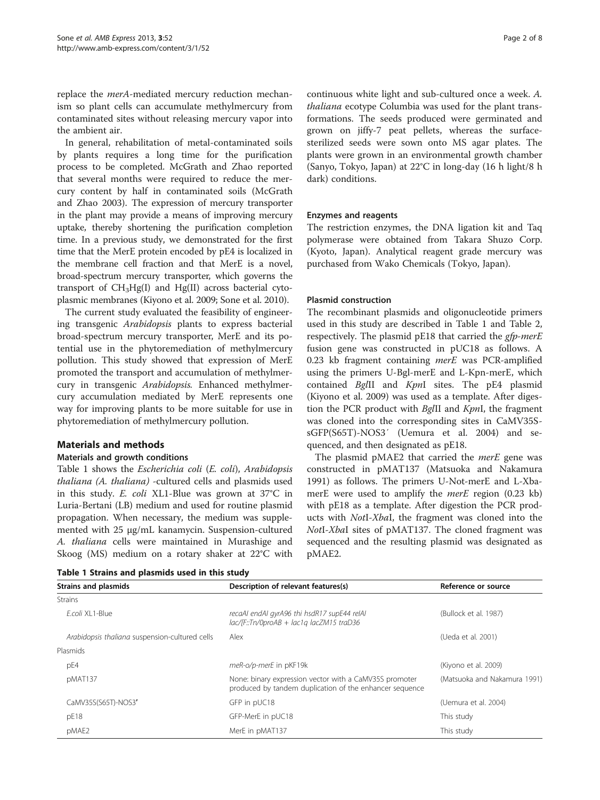<span id="page-1-0"></span>replace the *merA-*mediated mercury reduction mechanism so plant cells can accumulate methylmercury from contaminated sites without releasing mercury vapor into the ambient air.

In general, rehabilitation of metal-contaminated soils by plants requires a long time for the purification process to be completed. McGrath and Zhao reported that several months were required to reduce the mercury content by half in contaminated soils (McGrath and Zhao [2003](#page-6-0)). The expression of mercury transporter in the plant may provide a means of improving mercury uptake, thereby shortening the purification completion time. In a previous study, we demonstrated for the first time that the MerE protein encoded by pE4 is localized in the membrane cell fraction and that MerE is a novel, broad-spectrum mercury transporter, which governs the transport of  $CH<sub>3</sub>Hg(I)$  and  $Hg(II)$  across bacterial cytoplasmic membranes (Kiyono et al. [2009](#page-6-0); Sone et al. [2010\)](#page-6-0).

The current study evaluated the feasibility of engineering transgenic Arabidopsis plants to express bacterial broad-spectrum mercury transporter, MerE and its potential use in the phytoremediation of methylmercury pollution. This study showed that expression of MerE promoted the transport and accumulation of methylmercury in transgenic Arabidopsis. Enhanced methylmercury accumulation mediated by MerE represents one way for improving plants to be more suitable for use in phytoremediation of methylmercury pollution.

## Materials and methods

#### Materials and growth conditions

Table 1 shows the Escherichia coli (E. coli), Arabidopsis thaliana (A. thaliana) -cultured cells and plasmids used in this study. E. coli XL1-Blue was grown at 37°C in Luria-Bertani (LB) medium and used for routine plasmid propagation. When necessary, the medium was supplemented with 25 μg/mL kanamycin. Suspension-cultured A. thaliana cells were maintained in Murashige and Skoog (MS) medium on a rotary shaker at 22°C with

continuous white light and sub-cultured once a week. A. thaliana ecotype Columbia was used for the plant transformations. The seeds produced were germinated and grown on jiffy-7 peat pellets, whereas the surfacesterilized seeds were sown onto MS agar plates. The plants were grown in an environmental growth chamber (Sanyo, Tokyo, Japan) at 22°C in long-day (16 h light/8 h dark) conditions.

#### Enzymes and reagents

The restriction enzymes, the DNA ligation kit and Taq polymerase were obtained from Takara Shuzo Corp. (Kyoto, Japan). Analytical reagent grade mercury was purchased from Wako Chemicals (Tokyo, Japan).

#### Plasmid construction

The recombinant plasmids and oligonucleotide primers used in this study are described in Table 1 and Table [2](#page-2-0), respectively. The plasmid pE18 that carried the *gfp-merE* fusion gene was constructed in pUC18 as follows. A 0.23 kb fragment containing merE was PCR-amplified using the primers U-Bgl-merE and L-Kpn-merE, which contained BglII and KpnI sites. The pE4 plasmid (Kiyono et al. [2009](#page-6-0)) was used as a template. After digestion the PCR product with BglII and KpnI, the fragment was cloned into the corresponding sites in CaMV35SsGFP(S65T)-NOS3′ (Uemura et al. [2004](#page-7-0)) and sequenced, and then designated as pE18.

The plasmid pMAE2 that carried the *merE* gene was constructed in pMAT137 (Matsuoka and Nakamura [1991](#page-6-0)) as follows. The primers U-Not-merE and L-XbamerE were used to amplify the *merE* region (0.23 kb) with pE18 as a template. After digestion the PCR products with NotI-XbaI, the fragment was cloned into the NotI-XbaI sites of pMAT137. The cloned fragment was sequenced and the resulting plasmid was designated as pMAE2.

|  |  |  |  | Table 1 Strains and plasmids used in this study |  |  |  |  |  |
|--|--|--|--|-------------------------------------------------|--|--|--|--|--|
|--|--|--|--|-------------------------------------------------|--|--|--|--|--|

| Strains and plasmids                           | Description of relevant features(s)                                                                               | Reference or source          |  |
|------------------------------------------------|-------------------------------------------------------------------------------------------------------------------|------------------------------|--|
| <b>Strains</b>                                 |                                                                                                                   |                              |  |
| Ecoli XI 1-Blue                                | recaAl endAl gyrA96 thi hsdR17 supE44 relAl<br>$lac/$ F::Tn/0proAB + $lac1q$ $lacZM15$ traD36                     | (Bullock et al. 1987)        |  |
| Arabidopsis thaliana suspension-cultured cells | Alex                                                                                                              | (Ueda et al. 2001)           |  |
| Plasmids                                       |                                                                                                                   |                              |  |
| pE4                                            | meR-o/p-merE in pKF19k                                                                                            | (Kiyono et al. 2009)         |  |
| pMAT137                                        | None: binary expression vector with a CaMV35S promoter<br>produced by tandem duplication of the enhancer sequence | (Matsuoka and Nakamura 1991) |  |
| CaMV35S(S65T)-NOS3'                            | GFP in pUC18                                                                                                      | (Uemura et al. 2004)         |  |
| pE18                                           | GFP-MerE in pUC18                                                                                                 | This study                   |  |
| pMAE2                                          | MerE in pMAT137                                                                                                   | This study                   |  |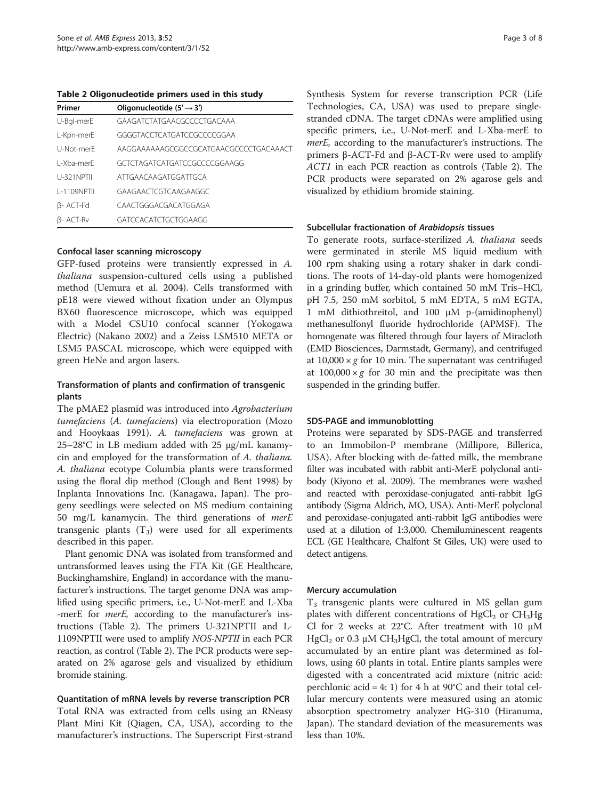<span id="page-2-0"></span>Table 2 Oligonucleotide primers used in this study

| Primer             | Oligonucleotide $(5' \rightarrow 3')$  |
|--------------------|----------------------------------------|
| U-Bal-merE         | GAAGATCTATGAACGCCCCTGACAAA             |
| L-Kpn-merE         | GGGGTACCTCATGATCCGCCCCGGAA             |
| U-Not-merF         | AAGGAAAAAAGCGGCCGCATGAACGCCCCTGACAAACT |
| L-Xha-merF         | GCTCTAGATCATGATCCGCCCCGGAAGG           |
| U-321NPTII         | ATTGAACAAGATGGATTGCA                   |
| <b>I-1109NPTII</b> | GAAGAACTCGTCAAGAAGGC                   |
| $\beta$ - ACT-Fd   | CAACTGGGACGACATGGAGA                   |
| B- ACT-Rv          | GATCCACATCTGCTGGAAGG                   |

## Confocal laser scanning microscopy

GFP-fused proteins were transiently expressed in A. thaliana suspension-cultured cells using a published method (Uemura et al. [2004\)](#page-7-0). Cells transformed with pE18 were viewed without fixation under an Olympus BX60 fluorescence microscope, which was equipped with a Model CSU10 confocal scanner (Yokogawa Electric) (Nakano [2002\)](#page-6-0) and a Zeiss LSM510 META or LSM5 PASCAL microscope, which were equipped with green HeNe and argon lasers.

## Transformation of plants and confirmation of transgenic plants

The pMAE2 plasmid was introduced into Agrobacterium tumefaciens (A. tumefaciens) via electroporation (Mozo and Hooykaas [1991](#page-6-0)). A. tumefaciens was grown at 25–28°C in LB medium added with 25 μg/mL kanamycin and employed for the transformation of A. thaliana. A. thaliana ecotype Columbia plants were transformed using the floral dip method (Clough and Bent [1998\)](#page-6-0) by Inplanta Innovations Inc. (Kanagawa, Japan). The progeny seedlings were selected on MS medium containing 50 mg/L kanamycin. The third generations of  $merE$ transgenic plants  $(T_3)$  were used for all experiments described in this paper.

Plant genomic DNA was isolated from transformed and untransformed leaves using the FTA Kit (GE Healthcare, Buckinghamshire, England) in accordance with the manufacturer's instructions. The target genome DNA was amplified using specific primers, i.e., U-Not-merE and L-Xba -merE for *merE*, according to the manufacturer's instructions (Table 2). The primers U-321NPTII and L-1109NPTII were used to amplify NOS-NPTII in each PCR reaction, as control (Table 2). The PCR products were separated on 2% agarose gels and visualized by ethidium bromide staining.

Quantitation of mRNA levels by reverse transcription PCR Total RNA was extracted from cells using an RNeasy Plant Mini Kit (Qiagen, CA, USA), according to the manufacturer's instructions. The Superscript First-strand Synthesis System for reverse transcription PCR (Life Technologies, CA, USA) was used to prepare singlestranded cDNA. The target cDNAs were amplified using specific primers, i.e., U-Not-merE and L-Xba-merE to merE, according to the manufacturer's instructions. The primers β-ACT-Fd and β-ACT-Rv were used to amplify ACT1 in each PCR reaction as controls (Table 2). The PCR products were separated on 2% agarose gels and visualized by ethidium bromide staining.

#### Subcellular fractionation of Arabidopsis tissues

To generate roots, surface-sterilized A. thaliana seeds were germinated in sterile MS liquid medium with 100 rpm shaking using a rotary shaker in dark conditions. The roots of 14-day-old plants were homogenized in a grinding buffer, which contained 50 mM Tris–HCl, pH 7.5, 250 mM sorbitol, 5 mM EDTA, 5 mM EGTA, 1 mM dithiothreitol, and 100 μM p-(amidinophenyl) methanesulfonyl fluoride hydrochloride (APMSF). The homogenate was filtered through four layers of Miracloth (EMD Biosciences, Darmstadt, Germany), and centrifuged at  $10,000 \times g$  for 10 min. The supernatant was centrifuged at  $100,000 \times g$  for 30 min and the precipitate was then suspended in the grinding buffer.

## SDS-PAGE and immunoblotting

Proteins were separated by SDS-PAGE and transferred to an Immobilon-P membrane (Millipore, Billerica, USA). After blocking with de-fatted milk, the membrane filter was incubated with rabbit anti-MerE polyclonal antibody (Kiyono et al. [2009](#page-6-0)). The membranes were washed and reacted with peroxidase-conjugated anti-rabbit IgG antibody (Sigma Aldrich, MO, USA). Anti-MerE polyclonal and peroxidase-conjugated anti-rabbit IgG antibodies were used at a dilution of 1:3,000. Chemiluminescent reagents ECL (GE Healthcare, Chalfont St Giles, UK) were used to detect antigens.

## Mercury accumulation

 $T<sub>3</sub>$  transgenic plants were cultured in MS gellan gum plates with different concentrations of  $HgCl<sub>2</sub>$  or  $CH<sub>3</sub>Hg$ Cl for 2 weeks at 22 $\degree$ C. After treatment with 10  $\mu$ M HgCl<sub>2</sub> or 0.3 μM CH<sub>3</sub>HgCl, the total amount of mercury accumulated by an entire plant was determined as follows, using 60 plants in total. Entire plants samples were digested with a concentrated acid mixture (nitric acid: perchlonic acid = 4: 1) for 4 h at  $90^{\circ}$ C and their total cellular mercury contents were measured using an atomic absorption spectrometry analyzer HG-310 (Hiranuma, Japan). The standard deviation of the measurements was less than 10%.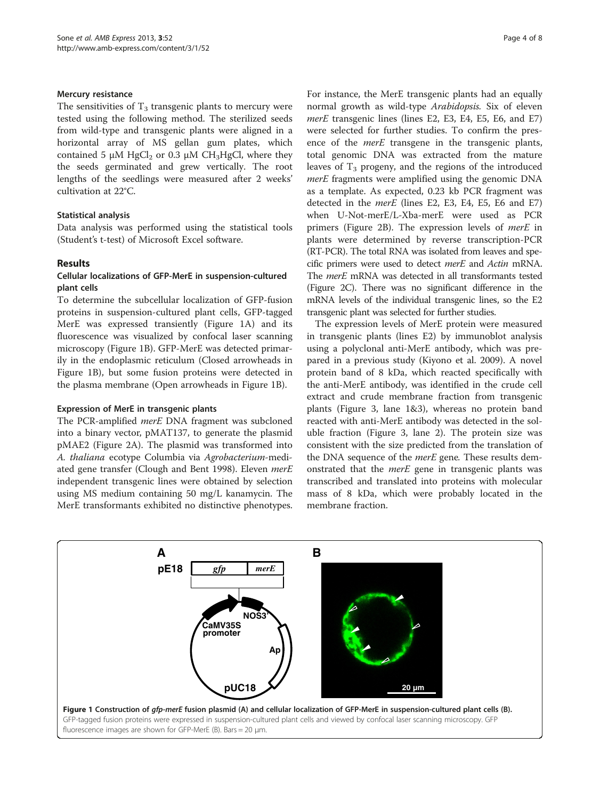#### Mercury resistance

The sensitivities of  $T_3$  transgenic plants to mercury were tested using the following method. The sterilized seeds from wild-type and transgenic plants were aligned in a horizontal array of MS gellan gum plates, which contained 5  $\mu$ M HgCl<sub>2</sub> or 0.3  $\mu$ M CH<sub>3</sub>HgCl, where they the seeds germinated and grew vertically. The root lengths of the seedlings were measured after 2 weeks' cultivation at 22°C.

## Statistical analysis

Data analysis was performed using the statistical tools (Student's t-test) of Microsoft Excel software.

## Results

## Cellular localizations of GFP-MerE in suspension-cultured plant cells

To determine the subcellular localization of GFP-fusion proteins in suspension-cultured plant cells, GFP-tagged MerE was expressed transiently (Figure 1A) and its fluorescence was visualized by confocal laser scanning microscopy (Figure 1B). GFP-MerE was detected primarily in the endoplasmic reticulum (Closed arrowheads in Figure 1B), but some fusion proteins were detected in the plasma membrane (Open arrowheads in Figure 1B).

## Expression of MerE in transgenic plants

The PCR-amplified *merE* DNA fragment was subcloned into a binary vector, pMAT137, to generate the plasmid pMAE2 (Figure [2A](#page-4-0)). The plasmid was transformed into A. thaliana ecotype Columbia via Agrobacterium-medi-ated gene transfer (Clough and Bent [1998](#page-6-0)). Eleven merE independent transgenic lines were obtained by selection using MS medium containing 50 mg/L kanamycin. The MerE transformants exhibited no distinctive phenotypes. For instance, the MerE transgenic plants had an equally normal growth as wild-type Arabidopsis. Six of eleven merE transgenic lines (lines E2, E3, E4, E5, E6, and E7) were selected for further studies. To confirm the presence of the *merE* transgene in the transgenic plants, total genomic DNA was extracted from the mature leaves of  $T_3$  progeny, and the regions of the introduced merE fragments were amplified using the genomic DNA as a template. As expected, 0.23 kb PCR fragment was detected in the *merE* (lines E2, E3, E4, E5, E6 and E7) when U-Not-merE/L-Xba-merE were used as PCR primers (Figure [2B](#page-4-0)). The expression levels of merE in plants were determined by reverse transcription-PCR (RT-PCR). The total RNA was isolated from leaves and specific primers were used to detect merE and Actin mRNA. The *merE* mRNA was detected in all transformants tested (Figure [2C](#page-4-0)). There was no significant difference in the mRNA levels of the individual transgenic lines, so the E2 transgenic plant was selected for further studies.

The expression levels of MerE protein were measured in transgenic plants (lines E2) by immunoblot analysis using a polyclonal anti-MerE antibody, which was prepared in a previous study (Kiyono et al. [2009](#page-6-0)). A novel protein band of 8 kDa, which reacted specifically with the anti-MerE antibody, was identified in the crude cell extract and crude membrane fraction from transgenic plants (Figure [3](#page-4-0), lane 1&3), whereas no protein band reacted with anti-MerE antibody was detected in the soluble fraction (Figure [3,](#page-4-0) lane 2). The protein size was consistent with the size predicted from the translation of the DNA sequence of the *merE* gene. These results demonstrated that the merE gene in transgenic plants was transcribed and translated into proteins with molecular mass of 8 kDa, which were probably located in the membrane fraction.

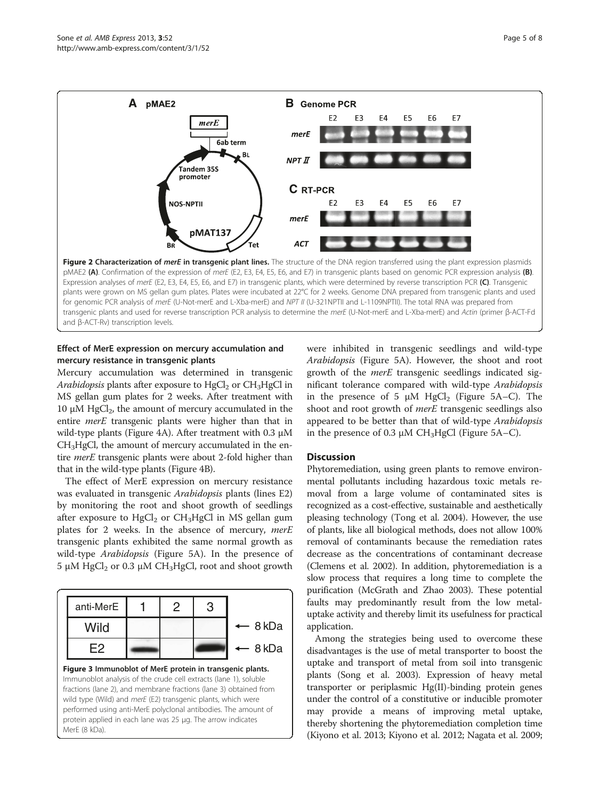<span id="page-4-0"></span>

pMAE2 (A). Confirmation of the expression of merE (E2, E3, E4, E5, E6, and E7) in transgenic plants based on genomic PCR expression analysis (B). Expression analyses of merE (E2, E3, E4, E5, E6, and E7) in transgenic plants, which were determined by reverse transcription PCR (C). Transgenic plants were grown on MS gellan gum plates. Plates were incubated at 22°C for 2 weeks. Genome DNA prepared from transgenic plants and used for genomic PCR analysis of merE (U-Not-merE and L-Xba-merE) and NPT II (U-321NPTII and L-1109NPTII). The total RNA was prepared from transgenic plants and used for reverse transcription PCR analysis to determine the merE (U-Not-merE and L-Xba-merE) and Actin (primer β-ACT-Fd and β-ACT-Rv) transcription levels.

## Effect of MerE expression on mercury accumulation and mercury resistance in transgenic plants

Mercury accumulation was determined in transgenic Arabidopsis plants after exposure to  $HgCl<sub>2</sub>$  or  $CH<sub>3</sub>HgCl$  in MS gellan gum plates for 2 weeks. After treatment with 10 μM HgCl<sub>2</sub>, the amount of mercury accumulated in the entire *merE* transgenic plants were higher than that in wild-type plants (Figure [4](#page-5-0)A). After treatment with 0.3 μM CH3HgCl, the amount of mercury accumulated in the entire *merE* transgenic plants were about 2-fold higher than that in the wild-type plants (Figure [4B](#page-5-0)).

The effect of MerE expression on mercury resistance was evaluated in transgenic Arabidopsis plants (lines E2) by monitoring the root and shoot growth of seedlings after exposure to  $HgCl<sub>2</sub>$  or  $CH<sub>3</sub>HgCl$  in MS gellan gum plates for 2 weeks. In the absence of mercury, *merE* transgenic plants exhibited the same normal growth as wild-type Arabidopsis (Figure [5](#page-5-0)A). In the presence of 5 μM HgCl<sub>2</sub> or 0.3 μM CH<sub>3</sub>HgCl, root and shoot growth



protein applied in each lane was 25 μg. The arrow indicates

MerE (8 kDa).

were inhibited in transgenic seedlings and wild-type Arabidopsis (Figure [5](#page-5-0)A). However, the shoot and root growth of the *merE* transgenic seedlings indicated significant tolerance compared with wild-type Arabidopsis in the presence of 5  $\mu$ M HgCl<sub>2</sub> (Figure [5A](#page-5-0)–C). The shoot and root growth of merE transgenic seedlings also appeared to be better than that of wild-type Arabidopsis in the presence of 0.3  $\mu$ M CH<sub>3</sub>HgCl (Figure [5](#page-5-0)A–C).

## **Discussion**

Phytoremediation, using green plants to remove environmental pollutants including hazardous toxic metals removal from a large volume of contaminated sites is recognized as a cost-effective, sustainable and aesthetically pleasing technology (Tong et al. [2004](#page-6-0)). However, the use of plants, like all biological methods, does not allow 100% removal of contaminants because the remediation rates decrease as the concentrations of contaminant decrease (Clemens et al. [2002](#page-6-0)). In addition, phytoremediation is a slow process that requires a long time to complete the purification (McGrath and Zhao [2003\)](#page-6-0). These potential faults may predominantly result from the low metaluptake activity and thereby limit its usefulness for practical application.

Among the strategies being used to overcome these disadvantages is the use of metal transporter to boost the uptake and transport of metal from soil into transgenic plants (Song et al. [2003](#page-6-0)). Expression of heavy metal transporter or periplasmic Hg(II)-binding protein genes under the control of a constitutive or inducible promoter may provide a means of improving metal uptake, thereby shortening the phytoremediation completion time (Kiyono et al. [2013;](#page-6-0) Kiyono et al. [2012;](#page-6-0) Nagata et al. [2009](#page-6-0);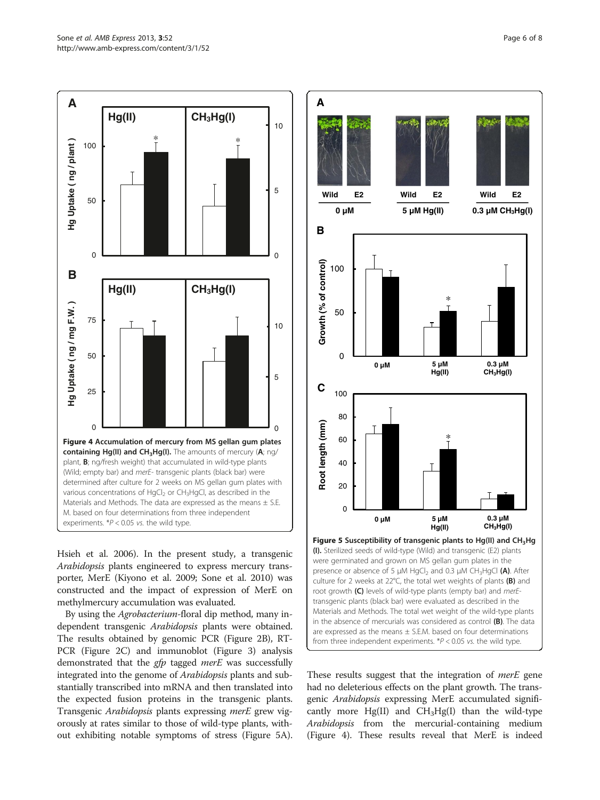

<span id="page-5-0"></span>

Hsieh et al. [2006](#page-6-0)). In the present study, a transgenic Arabidopsis plants engineered to express mercury transporter, MerE (Kiyono et al. [2009;](#page-6-0) Sone et al. [2010](#page-6-0)) was constructed and the impact of expression of MerE on methylmercury accumulation was evaluated.

By using the Agrobacterium-floral dip method, many independent transgenic Arabidopsis plants were obtained. The results obtained by genomic PCR (Figure [2B](#page-4-0)), RT-PCR (Figure [2C](#page-4-0)) and immunoblot (Figure [3](#page-4-0)) analysis demonstrated that the *gfp* tagged *merE* was successfully integrated into the genome of Arabidopsis plants and substantially transcribed into mRNA and then translated into the expected fusion proteins in the transgenic plants. Transgenic Arabidopsis plants expressing merE grew vigorously at rates similar to those of wild-type plants, without exhibiting notable symptoms of stress (Figure 5A).



These results suggest that the integration of *merE* gene had no deleterious effects on the plant growth. The transgenic Arabidopsis expressing MerE accumulated significantly more  $Hg(II)$  and  $CH<sub>3</sub>Hg(I)$  than the wild-type Arabidopsis from the mercurial-containing medium (Figure 4). These results reveal that MerE is indeed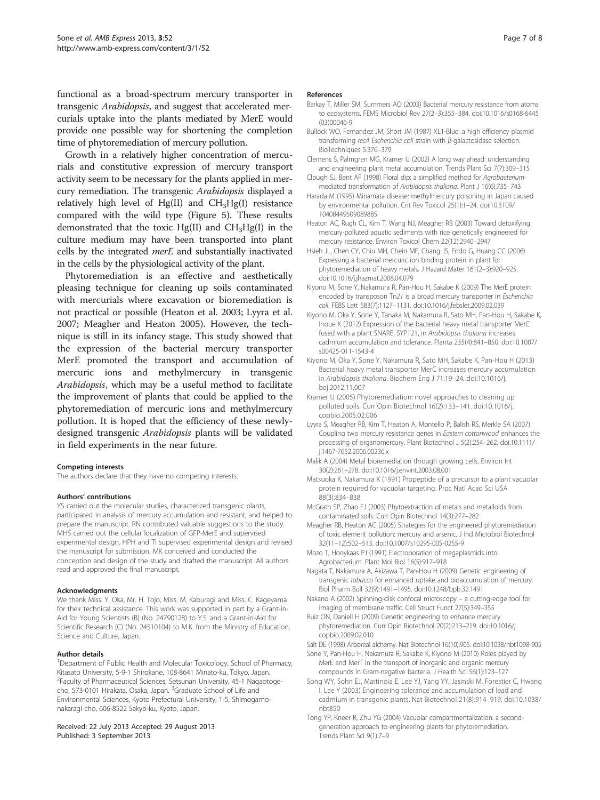<span id="page-6-0"></span>functional as a broad-spectrum mercury transporter in transgenic Arabidopsis, and suggest that accelerated mercurials uptake into the plants mediated by MerE would provide one possible way for shortening the completion time of phytoremediation of mercury pollution.

Growth in a relatively higher concentration of mercurials and constitutive expression of mercury transport activity seem to be necessary for the plants applied in mercury remediation. The transgenic Arabidopsis displayed a relatively high level of Hg(II) and CH3Hg(I) resistance compared with the wild type (Figure [5\)](#page-5-0). These results demonstrated that the toxic Hg(II) and  $CH<sub>3</sub>Hg(I)$  in the culture medium may have been transported into plant cells by the integrated  $merE$  and substantially inactivated in the cells by the physiological activity of the plant.

Phytoremediation is an effective and aesthetically pleasing technique for cleaning up soils contaminated with mercurials where excavation or bioremediation is not practical or possible (Heaton et al. 2003; Lyyra et al. 2007; Meagher and Heaton 2005). However, the technique is still in its infancy stage. This study showed that the expression of the bacterial mercury transporter MerE promoted the transport and accumulation of mercuric ions and methylmercury in transgenic Arabidopsis, which may be a useful method to facilitate the improvement of plants that could be applied to the phytoremediation of mercuric ions and methylmercury pollution. It is hoped that the efficiency of these newlydesigned transgenic Arabidopsis plants will be validated in field experiments in the near future.

#### Competing interests

The authors declare that they have no competing interests.

#### Authors' contributions

YS carried out the molecular studies, characterized transgenic plants, participated in analysis of mercury accumulation and resistant, and helped to prepare the manuscript. RN contributed valuable suggestions to the study. MHS carried out the cellular localization of GFP-MerE and supervised experimental design. HPH and TI supervised experimental design and revised the manuscript for submission. MK conceived and conducted the conception and design of the study and drafted the manuscript. All authors read and approved the final manuscript.

#### Acknowledgments

We thank Miss. Y. Oka, Mr. H. Tojo, Miss. M. Kaburagi and Miss. C. Kageyama for their technical assistance. This work was supported in part by a Grant-in-Aid for Young Scientists (B) (No. 24790128) to Y.S. and a Grant-in-Aid for Scientific Research (C) (No. 24510104) to M.K. from the Ministry of Education, Science and Culture, Japan.

#### Author details

<sup>1</sup>Department of Public Health and Molecular Toxicology, School of Pharmacy, Kitasato University, 5-9-1 Shirokane, 108-8641 Minato-ku, Tokyo, Japan. <sup>2</sup>Faculty of Pharmaceutical Sciences, Setsunan University, 45-1 Nagaotogecho, 573-0101 Hirakata, Osaka, Japan. <sup>3</sup>Graduate School of Life and Environmental Sciences, Kyoto Prefectural University, 1-5, Shimogamonakaragi-cho, 606-8522 Sakyo-ku, Kyoto, Japan.

#### Received: 22 July 2013 Accepted: 29 August 2013 Published: 3 September 2013

#### References

- Barkay T, Miller SM, Summers AO (2003) Bacterial mercury resistance from atoms to ecosystems. FEMS Microbiol Rev 27(2–3):355–384. doi:10.1016/s0168-6445 (03)00046-9
- Bullock WO, Fernandez JM, Short JM (1987) XL1-Blue: a high efficiency plasmid transforming recA Escherichia coli strain with β-galactosidase selection. BioTechniques 5:376–379
- Clemens S, Palmgren MG, Kramer U (2002) A long way ahead: understanding and engineering plant metal accumulation. Trends Plant Sci 7(7):309–315
- Clough SJ, Bent AF (1998) Floral dip: a simplified method for Agrobacteriummediated transformation of Arabidopsis thaliana. Plant J 16(6):735–743
- Harada M (1995) Minamata disease: methylmercury poisoning in Japan caused by environmental pollution. Crit Rev Toxicol 25(1):1–24. doi:10.3109/ 10408449509089885
- Heaton AC, Rugh CL, Kim T, Wang NJ, Meagher RB (2003) Toward detoxifying mercury-polluted aquatic sediments with rice genetically engineered for mercury resistance. Environ Toxicol Chem 22(12):2940–2947
- Hsieh JL, Chen CY, Chiu MH, Chein MF, Chang JS, Endo G, Huang CC (2006) Expressing a bacterial mercuric ion binding protein in plant for phytoremediation of heavy metals. J Hazard Mater 161(2–3):920–925. doi:10.1016/j.jhazmat.2008.04.079
- Kiyono M, Sone Y, Nakamura R, Pan-Hou H, Sakabe K (2009) The MerE protein encoded by transposon Tn21 is a broad mercury transporter in Escherichia coli. FEBS Lett 583(7):1127–1131. doi:10.1016/j.febslet.2009.02.039
- Kiyono M, Oka Y, Sone Y, Tanaka M, Nakamura R, Sato MH, Pan-Hou H, Sakabe K, Inoue K (2012) Expression of the bacterial heavy metal transporter MerC fused with a plant SNARE, SYP121, in Arabidopsis thaliana increases cadmium accumulation and tolerance. Planta 235(4):841–850. doi:10.1007/ s00425-011-1543-4
- Kiyono M, Oka Y, Sone Y, Nakamura R, Sato MH, Sakabe K, Pan-Hou H (2013) Bacterial heavy metal transporter MerC increases mercury accumulation in Arabidopsis thaliana. Biochem Eng J 71:19–24. doi:10.1016/j. bej.2012.11.007
- Kramer U (2005) Phytoremediation: novel approaches to cleaning up polluted soils. Curr Opin Biotechnol 16(2):133–141. doi:10.1016/j. copbio.2005.02.006
- Lyyra S, Meagher RB, Kim T, Heaton A, Montello P, Balish RS, Merkle SA (2007) Coupling two mercury resistance genes in Eastern cottonwood enhances the processing of organomercury. Plant Biotechnol J 5(2):254–262. doi:10.1111/ j.1467-7652.2006.00236.x
- Malik A (2004) Metal bioremediation through growing cells. Environ Int 30(2):261–278. doi:10.1016/j.envint.2003.08.001
- Matsuoka K, Nakamura K (1991) Propeptide of a precursor to a plant vacuolar protein required for vacuolar targeting. Proc Natl Acad Sci USA 88(3):834–838
- McGrath SP, Zhao FJ (2003) Phytoextraction of metals and metalloids from contaminated soils. Curr Opin Biotechnol 14(3):277–282
- Meagher RB, Heaton AC (2005) Strategies for the engineered phytoremediation of toxic element pollution: mercury and arsenic. J Ind Microbiol Biotechnol 32(11–12):502–513. doi:10.1007/s10295-005-0255-9
- Mozo T, Hooykaas PJ (1991) Electroporation of megaplasmids into Agrobacterium. Plant Mol Biol 16(5):917–918
- Nagata T, Nakamura A, Akizawa T, Pan-Hou H (2009) Genetic engineering of transgenic tobacco for enhanced uptake and bioaccumulation of mercury. Biol Pharm Bull 32(9):1491–1495. doi:10.1248/bpb.32.1491
- Nakano A (2002) Spinning-disk confocal microscopy a cutting-edge tool for imaging of membrane traffic. Cell Struct Funct 27(5):349–355
- Ruiz ON, Daniell H (2009) Genetic engineering to enhance mercury phytoremediation. Curr Opin Biotechnol 20(2):213–219. doi:10.1016/j. copbio.2009.02.010
- Salt DE (1998) Arboreal alchemy. Nat Biotechnol 16(10):905. doi:10.1038/nbt1098-905
- Sone Y, Pan-Hou H, Nakamura R, Sakabe K, Kiyono M (2010) Roles played by MerE and MerT in the transport of inorganic and organic mercury compounds in Gram-negative bacteria. J Health Sci 56(1):123–127
- Song WY, Sohn EJ, Martinoia E, Lee YJ, Yang YY, Jasinski M, Forestier C, Hwang I, Lee Y (2003) Engineering tolerance and accumulation of lead and cadmium in transgenic plants. Nat Biotechnol 21(8):914–919. doi:10.1038/ nbt850
- Tong YP, Kneer R, Zhu YG (2004) Vacuolar compartmentalization: a secondgeneration approach to engineering plants for phytoremediation. Trends Plant Sci 9(1):7–9